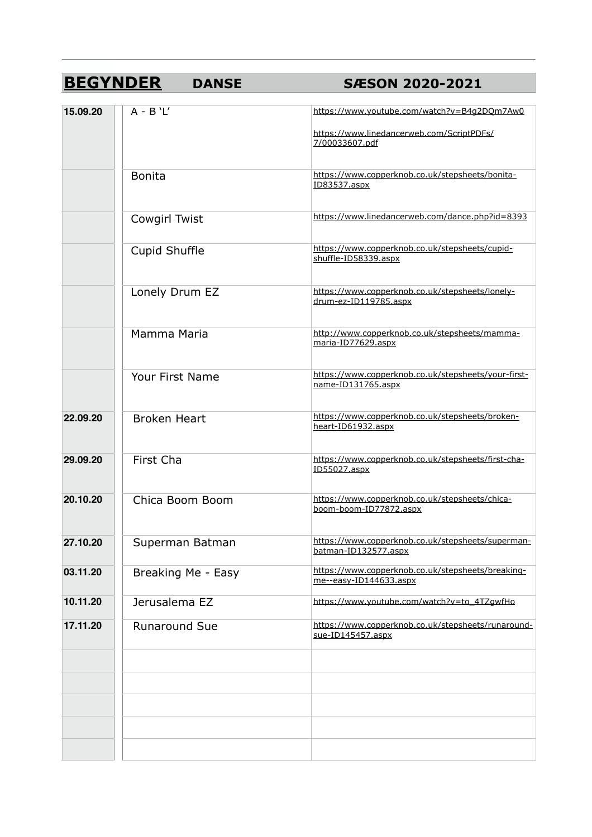## **BEGYNDER DANSE SÆSON 2020-2021**

| 15.09.20 | $A - B' L'$          | https://www.youtube.com/watch?v=B4q2DQm7Aw0<br>https://www.linedancerweb.com/ScriptPDFs/<br>7/00033607.pdf |
|----------|----------------------|------------------------------------------------------------------------------------------------------------|
|          | <b>Bonita</b>        | https://www.copperknob.co.uk/stepsheets/bonita-<br>ID83537.aspx                                            |
|          | Cowgirl Twist        | https://www.linedancerweb.com/dance.php?id=8393                                                            |
|          | Cupid Shuffle        | https://www.copperknob.co.uk/stepsheets/cupid-<br>shuffle-ID58339.aspx                                     |
|          | Lonely Drum EZ       | https://www.copperknob.co.uk/stepsheets/lonely-<br>drum-ez-ID119785.aspx                                   |
|          | Mamma Maria          | http://www.copperknob.co.uk/stepsheets/mamma-<br>maria-ID77629.aspx                                        |
|          | Your First Name      | https://www.copperknob.co.uk/stepsheets/your-first-<br>name-ID131765.aspx                                  |
| 22.09.20 | <b>Broken Heart</b>  | https://www.copperknob.co.uk/stepsheets/broken-<br>heart-ID61932.aspx                                      |
| 29.09.20 | First Cha            | https://www.copperknob.co.uk/stepsheets/first-cha-<br>ID55027.aspx                                         |
| 20.10.20 | Chica Boom Boom      | https://www.copperknob.co.uk/stepsheets/chica-<br>boom-boom-ID77872.aspx                                   |
| 27.10.20 | Superman Batman      | https://www.copperknob.co.uk/stepsheets/superman-<br>batman-ID132577.aspx                                  |
| 03.11.20 | Breaking Me - Easy   | https://www.copperknob.co.uk/stepsheets/breaking-<br>me--easy-ID144633.aspx                                |
| 10.11.20 | Jerusalema EZ        | https://www.youtube.com/watch?v=to_4TZgwfHo                                                                |
| 17.11.20 | <b>Runaround Sue</b> | https://www.copperknob.co.uk/stepsheets/runaround-<br>sue-ID145457.aspx                                    |
|          |                      |                                                                                                            |
|          |                      |                                                                                                            |
|          |                      |                                                                                                            |
|          |                      |                                                                                                            |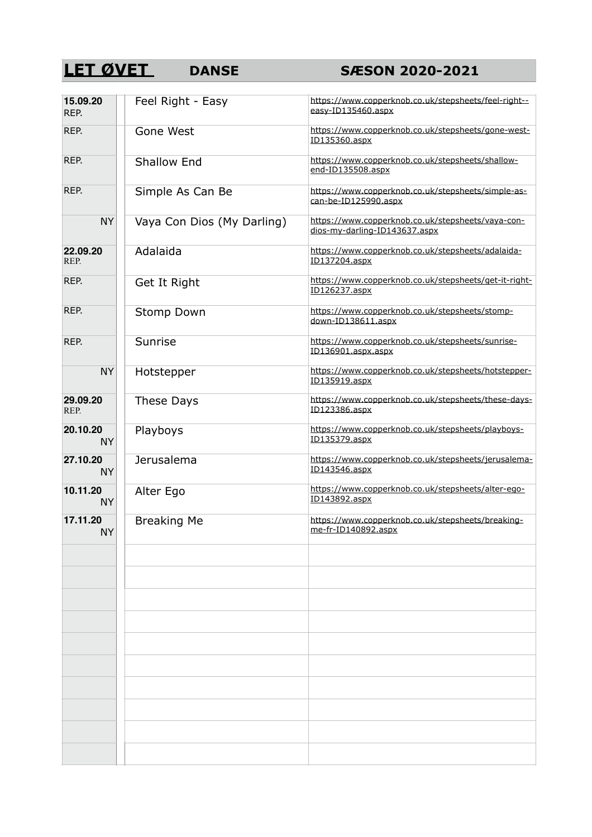## **LET ØVET** DANSE SÆSON 2020-2021

| 15.09.20<br>REP.      | Feel Right - Easy          | https://www.copperknob.co.uk/stepsheets/feel-right--<br>easy-ID135460.aspx         |
|-----------------------|----------------------------|------------------------------------------------------------------------------------|
| REP.                  | Gone West                  | https://www.copperknob.co.uk/stepsheets/gone-west-<br>ID135360.aspx                |
| REP.                  | <b>Shallow End</b>         | https://www.copperknob.co.uk/stepsheets/shallow-<br>end-ID135508.aspx              |
| REP.                  | Simple As Can Be           | https://www.copperknob.co.uk/stepsheets/simple-as-<br>can-be-ID125990.aspx         |
| <b>NY</b>             | Vaya Con Dios (My Darling) | https://www.copperknob.co.uk/stepsheets/vaya-con-<br>dios-my-darling-ID143637.aspx |
| 22.09.20<br>REP.      | Adalaida                   | https://www.copperknob.co.uk/stepsheets/adalaida-<br>ID137204.aspx                 |
| REP.                  | Get It Right               | https://www.copperknob.co.uk/stepsheets/get-it-right-<br>ID126237.aspx             |
| REP.                  | <b>Stomp Down</b>          | https://www.copperknob.co.uk/stepsheets/stomp-<br>down-ID138611.aspx               |
| REP.                  | Sunrise                    | https://www.copperknob.co.uk/stepsheets/sunrise-<br>ID136901.aspx.aspx             |
| <b>NY</b>             | Hotstepper                 | https://www.copperknob.co.uk/stepsheets/hotstepper-<br>ID135919.aspx               |
| 29.09.20<br>REP.      | These Days                 | https://www.copperknob.co.uk/stepsheets/these-days-<br>ID123386.aspx               |
| 20.10.20<br><b>NY</b> | Playboys                   | https://www.copperknob.co.uk/stepsheets/playboys-<br>ID135379.aspx                 |
| 27.10.20<br><b>NY</b> | <b>Jerusalema</b>          | https://www.copperknob.co.uk/stepsheets/jerusalema-<br>ID143546.aspx               |
| 10.11.20<br><b>NY</b> | Alter Ego                  | https://www.copperknob.co.uk/stepsheets/alter-ego-<br>ID143892.aspx                |
| 17.11.20<br><b>NY</b> | <b>Breaking Me</b>         | https://www.copperknob.co.uk/stepsheets/breaking-<br>me-fr-ID140892.aspx           |
|                       |                            |                                                                                    |
|                       |                            |                                                                                    |
|                       |                            |                                                                                    |
|                       |                            |                                                                                    |
|                       |                            |                                                                                    |
|                       |                            |                                                                                    |
|                       |                            |                                                                                    |
|                       |                            |                                                                                    |
|                       |                            |                                                                                    |